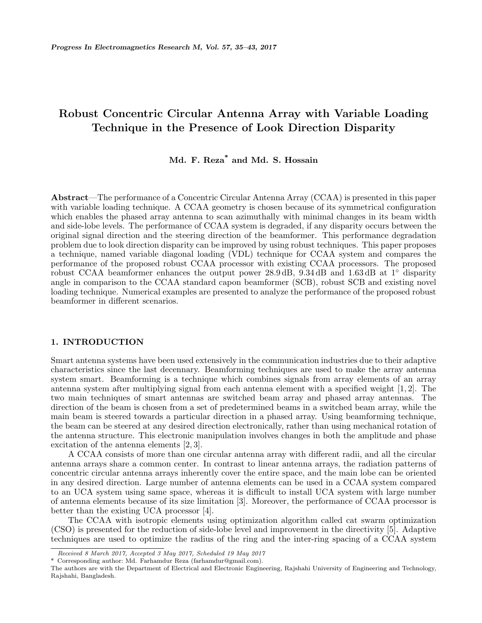# **Robust Concentric Circular Antenna Array with Variable Loading Technique in the Presence of Look Direction Disparity**

## **Md. F. Reza\* and Md. S. Hossain**

**Abstract**—The performance of a Concentric Circular Antenna Array (CCAA) is presented in this paper with variable loading technique. A CCAA geometry is chosen because of its symmetrical configuration which enables the phased array antenna to scan azimuthally with minimal changes in its beam width and side-lobe levels. The performance of CCAA system is degraded, if any disparity occurs between the original signal direction and the steering direction of the beamformer. This performance degradation problem due to look direction disparity can be improved by using robust techniques. This paper proposes a technique, named variable diagonal loading (VDL) technique for CCAA system and compares the performance of the proposed robust CCAA processor with existing CCAA processors. The proposed robust CCAA beamformer enhances the output power 28.9 dB, 9.34 dB and 1.63 dB at 1*◦* disparity angle in comparison to the CCAA standard capon beamformer (SCB), robust SCB and existing novel loading technique. Numerical examples are presented to analyze the performance of the proposed robust beamformer in different scenarios.

## **1. INTRODUCTION**

Smart antenna systems have been used extensively in the communication industries due to their adaptive characteristics since the last decennary. Beamforming techniques are used to make the array antenna system smart. Beamforming is a technique which combines signals from array elements of an array antenna system after multiplying signal from each antenna element with a specified weight [1, 2]. The two main techniques of smart antennas are switched beam array and phased array antennas. The direction of the beam is chosen from a set of predetermined beams in a switched beam array, while the main beam is steered towards a particular direction in a phased array. Using beamforming technique, the beam can be steered at any desired direction electronically, rather than using mechanical rotation of the antenna structure. This electronic manipulation involves changes in both the amplitude and phase excitation of the antenna elements [2, 3].

A CCAA consists of more than one circular antenna array with different radii, and all the circular antenna arrays share a common center. In contrast to linear antenna arrays, the radiation patterns of concentric circular antenna arrays inherently cover the entire space, and the main lobe can be oriented in any desired direction. Large number of antenna elements can be used in a CCAA system compared to an UCA system using same space, whereas it is difficult to install UCA system with large number of antenna elements because of its size limitation [3]. Moreover, the performance of CCAA processor is better than the existing UCA processor [4].

The CCAA with isotropic elements using optimization algorithm called cat swarm optimization (CSO) is presented for the reduction of side-lobe level and improvement in the directivity [5]. Adaptive techniques are used to optimize the radius of the ring and the inter-ring spacing of a CCAA system

*Received 8 March 2017, Accepted 3 May 2017, Scheduled 19 May 2017*

Corresponding author: Md. Farhamdur Reza (farhamdur@gmail.com).

The authors are with the Department of Electrical and Electronic Engineering, Rajshahi University of Engineering and Technology, Rajshahi, Bangladesh.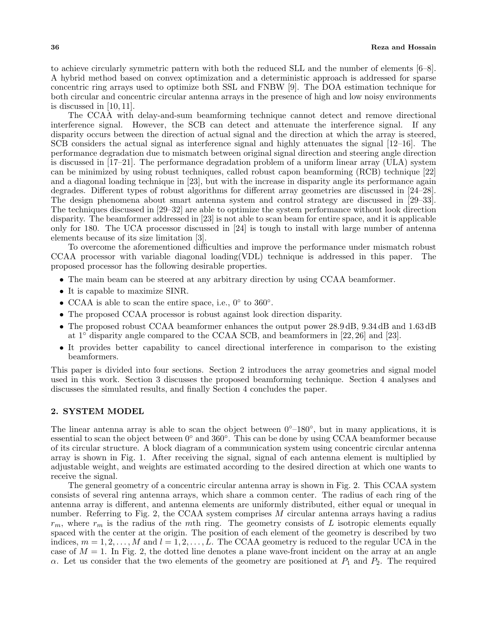to achieve circularly symmetric pattern with both the reduced SLL and the number of elements [6–8]. A hybrid method based on convex optimization and a deterministic approach is addressed for sparse concentric ring arrays used to optimize both SSL and FNBW [9]. The DOA estimation technique for both circular and concentric circular antenna arrays in the presence of high and low noisy environments is discussed in [10, 11].

The CCAA with delay-and-sum beamforming technique cannot detect and remove directional interference signal. However, the SCB can detect and attenuate the interference signal. If any disparity occurs between the direction of actual signal and the direction at which the array is steered, SCB considers the actual signal as interference signal and highly attenuates the signal [12–16]. The performance degradation due to mismatch between original signal direction and steering angle direction is discussed in [17–21]. The performance degradation problem of a uniform linear array (ULA) system can be minimized by using robust techniques, called robust capon beamforming (RCB) technique [22] and a diagonal loading technique in [23], but with the increase in disparity angle its performance again degrades. Different types of robust algorithms for different array geometries are discussed in [24–28]. The design phenomena about smart antenna system and control strategy are discussed in [29–33]. The techniques discussed in [29–32] are able to optimize the system performance without look direction disparity. The beamformer addressed in [23] is not able to scan beam for entire space, and it is applicable only for 180. The UCA processor discussed in [24] is tough to install with large number of antenna elements because of its size limitation [3].

To overcome the aforementioned difficulties and improve the performance under mismatch robust CCAA processor with variable diagonal loading(VDL) technique is addressed in this paper. The proposed processor has the following desirable properties.

- The main beam can be steered at any arbitrary direction by using CCAA beamformer.
- It is capable to maximize SINR.
- *•* CCAA is able to scan the entire space, i.e., 0*◦* to 360*◦* .
- The proposed CCAA processor is robust against look direction disparity.
- The proposed robust CCAA beamformer enhances the output power 28.9 dB, 9.34 dB and 1.63 dB at 1*◦* disparity angle compared to the CCAA SCB, and beamformers in [22, 26] and [23].
- It provides better capability to cancel directional interference in comparison to the existing beamformers.

This paper is divided into four sections. Section 2 introduces the array geometries and signal model used in this work. Section 3 discusses the proposed beamforming technique. Section 4 analyses and discusses the simulated results, and finally Section 4 concludes the paper.

## **2. SYSTEM MODEL**

The linear antenna array is able to scan the object between 0*◦*–180*◦* , but in many applications, it is essential to scan the object between 0*◦* and 360*◦* . This can be done by using CCAA beamformer because of its circular structure. A block diagram of a communication system using concentric circular antenna array is shown in Fig. 1. After receiving the signal, signal of each antenna element is multiplied by adjustable weight, and weights are estimated according to the desired direction at which one wants to receive the signal.

The general geometry of a concentric circular antenna array is shown in Fig. 2. This CCAA system consists of several ring antenna arrays, which share a common center. The radius of each ring of the antenna array is different, and antenna elements are uniformly distributed, either equal or unequal in number. Referring to Fig. 2, the CCAA system comprises *M* circular antenna arrays having a radius  $r_m$ , where  $r_m$  is the radius of the *m*th ring. The geometry consists of *L* isotropic elements equally spaced with the center at the origin. The position of each element of the geometry is described by two indices,  $m = 1, 2, \ldots, M$  and  $l = 1, 2, \ldots, L$ . The CCAA geometry is reduced to the regular UCA in the case of  $M = 1$ . In Fig. 2, the dotted line denotes a plane wave-front incident on the array at an angle *α*. Let us consider that the two elements of the geometry are positioned at  $P_1$  and  $P_2$ . The required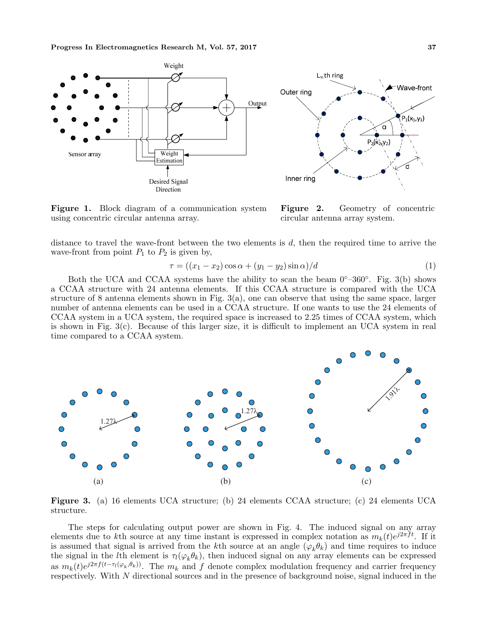

**Figure 1.** Block diagram of a communication system using concentric circular antenna array.

**Figure 2.** Geometry of concentric circular antenna array system.

distance to travel the wave-front between the two elements is *d*, then the required time to arrive the wave-front from point  $P_1$  to  $P_2$  is given by,

$$
\tau = \left( (x_1 - x_2) \cos \alpha + (y_1 - y_2) \sin \alpha \right) / d \tag{1}
$$

Both the UCA and CCAA systems have the ability to scan the beam 0*◦*–360*◦* . Fig. 3(b) shows a CCAA structure with 24 antenna elements. If this CCAA structure is compared with the UCA structure of 8 antenna elements shown in Fig.  $3(a)$ , one can observe that using the same space, larger number of antenna elements can be used in a CCAA structure. If one wants to use the 24 elements of CCAA system in a UCA system, the required space is increased to 2.25 times of CCAA system, which is shown in Fig. 3(c). Because of this larger size, it is difficult to implement an UCA system in real time compared to a CCAA system.



**Figure 3.** (a) 16 elements UCA structure; (b) 24 elements CCAA structure; (c) 24 elements UCA structure.

The steps for calculating output power are shown in Fig. 4. The induced signal on any array elements due to *k*th source at any time instant is expressed in complex notation as  $m_k(t)e^{j2\pi ft}$ . If it is assumed that signal is arrived from the *k*th source at an angle  $(\varphi_k \theta_k)$  and time requires to induce the signal in the *l*th element is  $\tau_l(\varphi_k\theta_k)$ , then induced signal on any array elements can be expressed as  $m_k(t)e^{j2\pi f(t-\tau_l(\varphi_k,\theta_k))}$ . The  $m_k$  and f denote complex modulation frequency and carrier frequency respectively. With *N* directional sources and in the presence of background noise, signal induced in the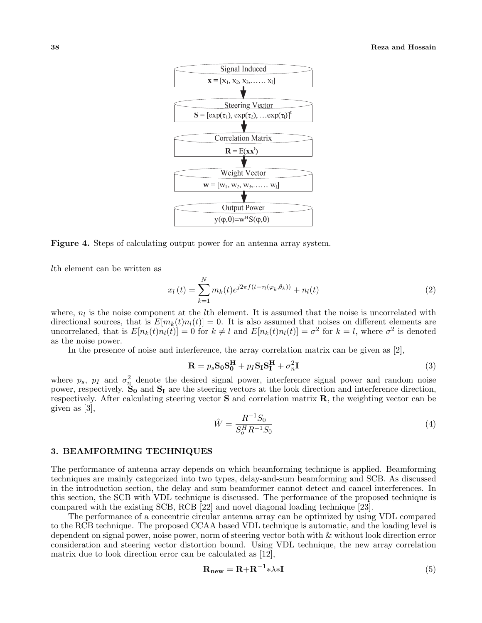

**Figure 4.** Steps of calculating output power for an antenna array system.

*l*th element can be written as

$$
x_l(t) = \sum_{k=1}^{N} m_k(t) e^{j2\pi f(t - \tau_l(\varphi_k, \theta_k))} + n_l(t)
$$
\n(2)

where,  $n_l$  is the noise component at the *l*<sup>th</sup> element. It is assumed that the noise is uncorrelated with directional sources, that is  $E[m_k(t)n_l(t)] = 0$ . It is also assumed that noises on different elements are uncorrelated, that is  $E[n_k(t)n_l(t)] = 0$  for  $k \neq l$  and  $E[n_k(t)n_l(t)] = \sigma^2$  for  $k = l$ , where  $\sigma^2$  is denoted as the noise power.

In the presence of noise and interference, the array correlation matrix can be given as [2],

$$
\mathbf{R} = p_s \mathbf{S}_0 \mathbf{S}_0^{\mathbf{H}} + p_I \mathbf{S}_I \mathbf{S}_I^{\mathbf{H}} + \sigma_n^2 \mathbf{I}
$$
 (3)

where  $p_s$ ,  $p_I$  and  $\sigma_n^2$  denote the desired signal power, interference signal power and random noise power, respectively. **S<sup>0</sup>** and **S<sup>I</sup>** are the steering vectors at the look direction and interference direction, respectively. After calculating steering vector **S** and correlation matrix **R**, the weighting vector can be given as [3],

$$
\hat{W} = \frac{R^{-1}S_0}{S_o^H R^{-1} S_0} \tag{4}
$$

## **3. BEAMFORMING TECHNIQUES**

The performance of antenna array depends on which beamforming technique is applied. Beamforming techniques are mainly categorized into two types, delay-and-sum beamforming and SCB. As discussed in the introduction section, the delay and sum beamformer cannot detect and cancel interferences. In this section, the SCB with VDL technique is discussed. The performance of the proposed technique is compared with the existing SCB, RCB [22] and novel diagonal loading technique [23].

The performance of a concentric circular antenna array can be optimized by using VDL compared to the RCB technique. The proposed CCAA based VDL technique is automatic, and the loading level is dependent on signal power, noise power, norm of steering vector both with & without look direction error consideration and steering vector distortion bound. Using VDL technique, the new array correlation matrix due to look direction error can be calculated as [12],

$$
\mathbf{R}_{\text{new}} = \mathbf{R} + \mathbf{R}^{-1} * \lambda * \mathbf{I}
$$
 (5)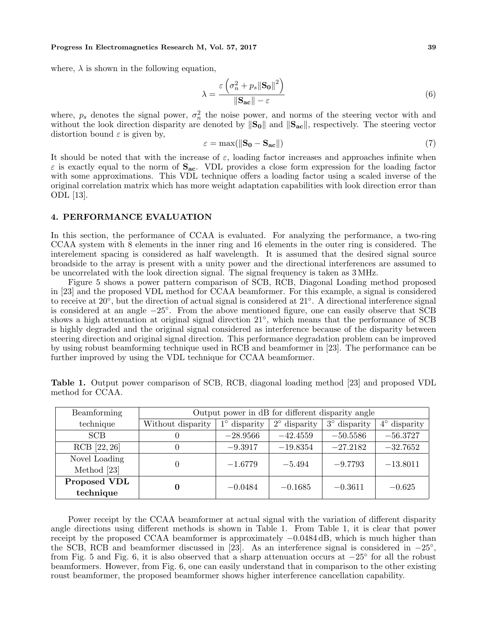#### **Progress In Electromagnetics Research M, Vol. 57, 2017 39**

where,  $\lambda$  is shown in the following equation,

$$
\lambda = \frac{\varepsilon \left( \sigma_n^2 + p_s \|\mathbf{S_0}\|^2 \right)}{\|\mathbf{S_{ac}}\| - \varepsilon} \tag{6}
$$

where,  $p_s$  denotes the signal power,  $\sigma_n^2$  the noise power, and norms of the steering vector with and without the look direction disparity are denoted by *∥***S0***∥* and *∥***Sac***∥*, respectively. The steering vector distortion bound  $\varepsilon$  is given by,

$$
\varepsilon = \max(||\mathbf{S_0} - \mathbf{S_{ac}}||) \tag{7}
$$

It should be noted that with the increase of  $\varepsilon$ , loading factor increases and approaches infinite when *ε* is exactly equal to the norm of **Sac**. VDL provides a close form expression for the loading factor with some approximations. This VDL technique offers a loading factor using a scaled inverse of the original correlation matrix which has more weight adaptation capabilities with look direction error than ODL [13].

## **4. PERFORMANCE EVALUATION**

In this section, the performance of CCAA is evaluated. For analyzing the performance, a two-ring CCAA system with 8 elements in the inner ring and 16 elements in the outer ring is considered. The interelement spacing is considered as half wavelength. It is assumed that the desired signal source broadside to the array is present with a unity power and the directional interferences are assumed to be uncorrelated with the look direction signal. The signal frequency is taken as 3 MHz.

Figure 5 shows a power pattern comparison of SCB, RCB, Diagonal Loading method proposed in [23] and the proposed VDL method for CCAA beamformer. For this example, a signal is considered to receive at 20*◦* , but the direction of actual signal is considered at 21*◦* . A directional interference signal is considered at an angle *−*25*◦* . From the above mentioned figure, one can easily observe that SCB shows a high attenuation at original signal direction 21*◦* , which means that the performance of SCB is highly degraded and the original signal considered as interference because of the disparity between steering direction and original signal direction. This performance degradation problem can be improved by using robust beamforming technique used in RCB and beamformer in [23]. The performance can be further improved by using the VDL technique for CCAA beamformer.

| Beamforming   | Output power in dB for different disparity angle |                     |                       |                     |                     |
|---------------|--------------------------------------------------|---------------------|-----------------------|---------------------|---------------------|
| technique     | Without disparity                                | $1^\circ$ disparity | $2^{\circ}$ disparity | $3^\circ$ disparity | $4^\circ$ disparity |
| <b>SCB</b>    | O                                                | $-28.9566$          | $-42.4559$            | $-50.5586$          | $-56.3727$          |
| RCB [22, 26]  | $\theta$                                         | $-9.3917$           | $-19.8354$            | $-27.2182$          | $-32.7652$          |
| Novel Loading | $\Omega$                                         | $-1.6779$           | $-5.494$              | $-9.7793$           | $-13.8011$          |
| Method [23]   |                                                  |                     |                       |                     |                     |
| Proposed VDL  | 0                                                | $-0.0484$           | $-0.1685$             | $-0.3611$           | $-0.625$            |
| technique     |                                                  |                     |                       |                     |                     |

**Table 1.** Output power comparison of SCB, RCB, diagonal loading method [23] and proposed VDL method for CCAA.

Power receipt by the CCAA beamformer at actual signal with the variation of different disparity angle directions using different methods is shown in Table 1. From Table 1, it is clear that power receipt by the proposed CCAA beamformer is approximately *−*0*.*0484 dB, which is much higher than the SCB, RCB and beamformer discussed in [23]. As an interference signal is considered in *−*25*◦* , from Fig. 5 and Fig. 6, it is also observed that a sharp attenuation occurs at *−*25*◦* for all the robust beamformers. However, from Fig. 6, one can easily understand that in comparison to the other existing roust beamformer, the proposed beamformer shows higher interference cancellation capability.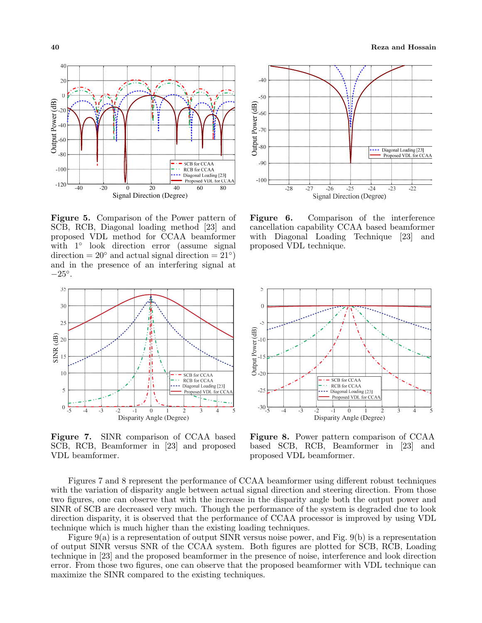

**Figure 5.** Comparison of the Power pattern of SCB, RCB, Diagonal loading method [23] and proposed VDL method for CCAA beamformer with 1*◦* look direction error (assume signal  $direction = 20<sup>°</sup>$  and actual signal direction =  $21<sup>°</sup>$ ) and in the presence of an interfering signal at *−*25*◦* .



**Figure 7.** SINR comparison of CCAA based SCB, RCB, Beamformer in [23] and proposed VDL beamformer.



**Figure 6.** Comparison of the interference cancellation capability CCAA based beamformer with Diagonal Loading Technique [23] and proposed VDL technique.



**Figure 8.** Power pattern comparison of CCAA based SCB, RCB, Beamformer in [23] and proposed VDL beamformer.

Figures 7 and 8 represent the performance of CCAA beamformer using different robust techniques with the variation of disparity angle between actual signal direction and steering direction. From those two figures, one can observe that with the increase in the disparity angle both the output power and SINR of SCB are decreased very much. Though the performance of the system is degraded due to look direction disparity, it is observed that the performance of CCAA processor is improved by using VDL technique which is much higher than the existing loading techniques.

Figure 9(a) is a representation of output SINR versus noise power, and Fig. 9(b) is a representation of output SINR versus SNR of the CCAA system. Both figures are plotted for SCB, RCB, Loading technique in [23] and the proposed beamformer in the presence of noise, interference and look direction error. From those two figures, one can observe that the proposed beamformer with VDL technique can maximize the SINR compared to the existing techniques.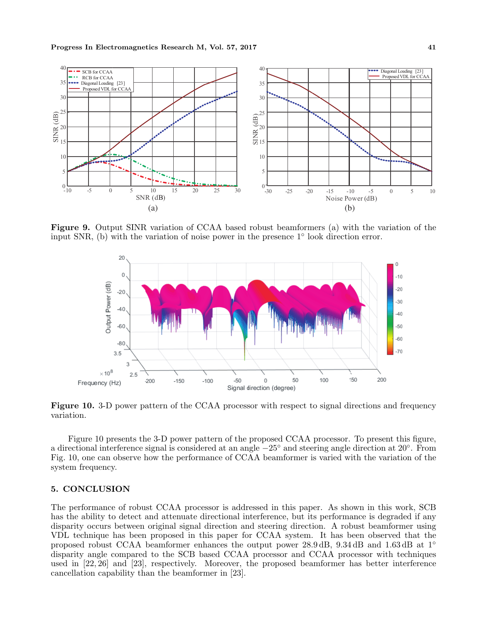

**Figure 9.** Output SINR variation of CCAA based robust beamformers (a) with the variation of the input SNR, (b) with the variation of noise power in the presence 1*◦* look direction error.



**Figure 10.** 3-D power pattern of the CCAA processor with respect to signal directions and frequency variation.

Figure 10 presents the 3-D power pattern of the proposed CCAA processor. To present this figure, a directional interference signal is considered at an angle *−*25*◦* and steering angle direction at 20*◦* . From Fig. 10, one can observe how the performance of CCAA beamformer is varied with the variation of the system frequency.

## **5. CONCLUSION**

The performance of robust CCAA processor is addressed in this paper. As shown in this work, SCB has the ability to detect and attenuate directional interference, but its performance is degraded if any disparity occurs between original signal direction and steering direction. A robust beamformer using VDL technique has been proposed in this paper for CCAA system. It has been observed that the proposed robust CCAA beamformer enhances the output power 28.9 dB, 9.34 dB and 1.63 dB at 1*◦* disparity angle compared to the SCB based CCAA processor and CCAA processor with techniques used in [22, 26] and [23], respectively. Moreover, the proposed beamformer has better interference cancellation capability than the beamformer in [23].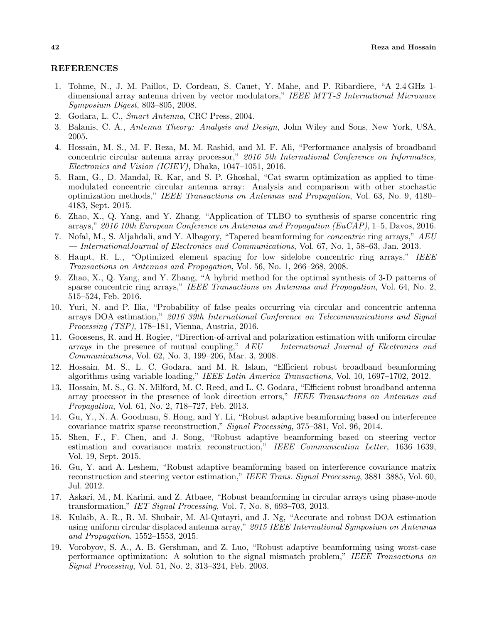## **REFERENCES**

- 1. Tohme, N., J. M. Paillot, D. Cordeau, S. Cauet, Y. Mahe, and P. Ribardiere, "A 2.4 GHz 1 dimensional array antenna driven by vector modulators," *IEEE MTT-S International Microwave Symposium Digest*, 803–805, 2008.
- 2. Godara, L. C., *Smart Antenna*, CRC Press, 2004.
- 3. Balanis, C. A., *Antenna Theory: Analysis and Design*, John Wiley and Sons, New York, USA, 2005.
- 4. Hossain, M. S., M. F. Reza, M. M. Rashid, and M. F. Ali, "Performance analysis of broadband concentric circular antenna array processor," *2016 5th International Conference on Informatics, Electronics and Vision (ICIEV)*, Dhaka, 1047–1051, 2016.
- 5. Ram, G., D. Mandal, R. Kar, and S. P. Ghoshal, "Cat swarm optimization as applied to timemodulated concentric circular antenna array: Analysis and comparison with other stochastic optimization methods," *IEEE Transactions on Antennas and Propagation*, Vol. 63, No. 9, 4180– 4183, Sept. 2015.
- 6. Zhao, X., Q. Yang, and Y. Zhang, "Application of TLBO to synthesis of sparse concentric ring arrays," *2016 10th European Conference on Antennas and Propagation (EuCAP)*, 1–5, Davos, 2016.
- 7. Nofal, M., S. Aljahdali, and Y. Albagory, "Tapered beamforming for *concentric* ring arrays," *AEU — InternationalJournal of Electronics and Communications*, Vol. 67, No. 1, 58–63, Jan. 2013.
- 8. Haupt, R. L., "Optimized element spacing for low sidelobe concentric ring arrays," *IEEE Transactions on Antennas and Propagation*, Vol. 56, No. 1, 266–268, 2008.
- 9. Zhao, X., Q. Yang, and Y. Zhang, "A hybrid method for the optimal synthesis of 3-D patterns of sparse concentric ring arrays," *IEEE Transactions on Antennas and Propagation*, Vol. 64, No. 2, 515–524, Feb. 2016.
- 10. Yuri, N. and P. Ilia, "Probability of false peaks occurring via circular and concentric antenna arrays DOA estimation," *2016 39th International Conference on Telecommunications and Signal Processing (TSP)*, 178–181, Vienna, Austria, 2016.
- 11. Goossens, R. and H. Rogier, "Direction-of-arrival and polarization estimation with uniform circular *arrays* in the presence of mutual coupling," *AEU — International Journal of Electronics and Communications*, Vol. 62, No. 3, 199–206, Mar. 3, 2008.
- 12. Hossain, M. S., L. C. Godara, and M. R. Islam, "Efficient robust broadband beamforming algorithms using variable loading," *IEEE Latin America Transactions*, Vol. 10, 1697–1702, 2012.
- 13. Hossain, M. S., G. N. Milford, M. C. Reed, and L. C. Godara, "Efficient robust broadband antenna array processor in the presence of look direction errors," *IEEE Transactions on Antennas and Propagation*, Vol. 61, No. 2, 718–727, Feb. 2013.
- 14. Gu, Y., N. A. Goodman, S. Hong, and Y. Li, "Robust adaptive beamforming based on interference covariance matrix sparse reconstruction," *Signal Processing*, 375–381, Vol. 96, 2014.
- 15. Shen, F., F. Chen, and J. Song, "Robust adaptive beamforming based on steering vector estimation and covariance matrix reconstruction," *IEEE Communication Letter*, 1636–1639, Vol. 19, Sept. 2015.
- 16. Gu, Y. and A. Leshem, "Robust adaptive beamforming based on interference covariance matrix reconstruction and steering vector estimation," *IEEE Trans. Signal Processing*, 3881–3885, Vol. 60, Jul. 2012.
- 17. Askari, M., M. Karimi, and Z. Atbaee, "Robust beamforming in circular arrays using phase-mode transformation," *IET Signal Processing*, Vol. 7, No. 8, 693–703, 2013.
- 18. Kulaib, A. R., R. M. Shubair, M. Al-Qutayri, and J. Ng, "Accurate and robust DOA estimation using uniform circular displaced antenna array," *2015 IEEE International Symposium on Antennas and Propagation*, 1552–1553, 2015.
- 19. Vorobyov, S. A., A. B. Gershman, and Z. Luo, "Robust adaptive beamforming using worst-case performance optimization: A solution to the signal mismatch problem," *IEEE Transactions on Signal Processing*, Vol. 51, No. 2, 313–324, Feb. 2003.